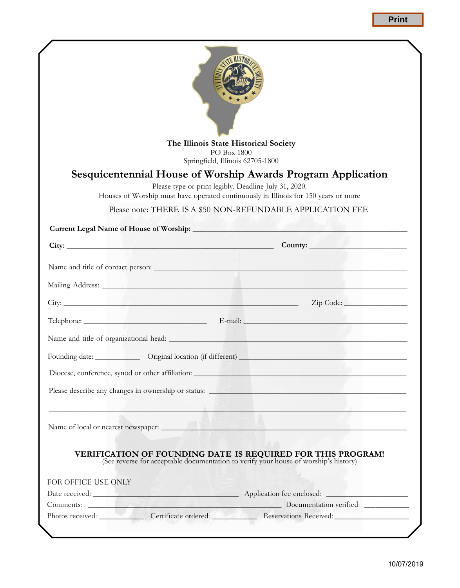Print